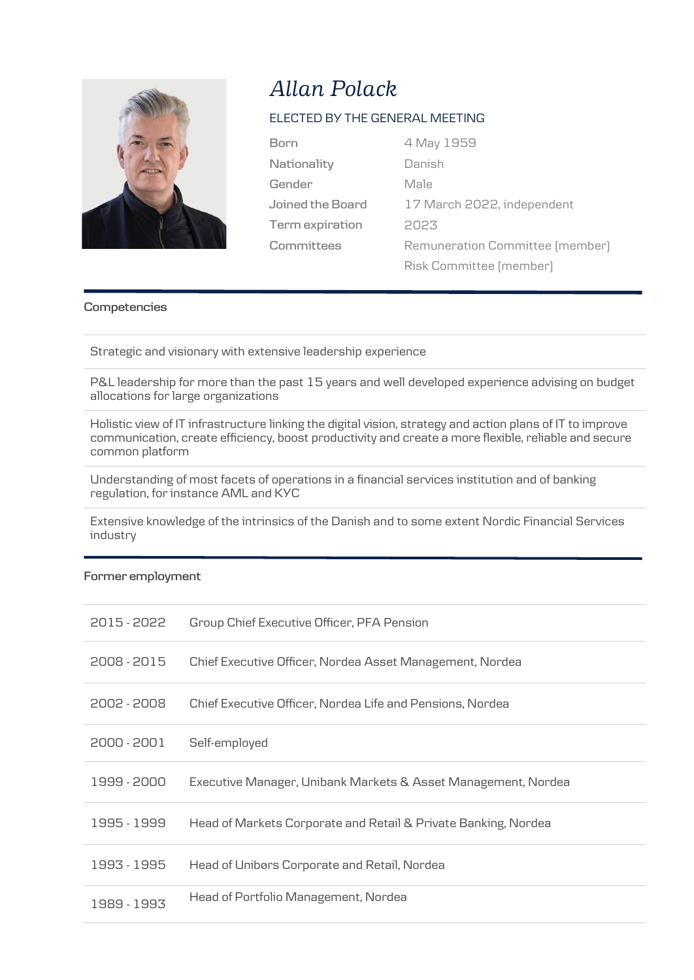

# *Allan Polack*

## ELECTED BY THE GENERAL MEETING

| <b>Born</b>      | 4 May 1959  |
|------------------|-------------|
| Nationality      | Danish      |
| Gender           | Male        |
| Joined the Board | 17 March 20 |
| Term expiration  | 2023        |
| Committees       | Remuneratio |

ish Male March 2022, independent 2023 nuneration Committee (member) Risk Committee (member)

#### **Competencies**

Strategic and visionary with extensive leadership experience

P&L leadership for more than the past 15 years and well developed experience advising on budget allocations for large organizations

Holistic view of IT infrastructure linking the digital vision, strategy and action plans of IT to improve communication, create efficiency, boost productivity and create a more flexible, reliable and secure common platform

Understanding of most facets of operations in a financial services institution and of banking regulation, for instance AML and KYC

Extensive knowledge of the intrinsics of the Danish and to some extent Nordic Financial Services industry

### **Former employment**

| 2015 - 2022 | Group Chief Executive Officer, PFA Pension                     |
|-------------|----------------------------------------------------------------|
| 2008 - 2015 | Chief Executive Officer, Nordea Asset Management, Nordea       |
| 2002 - 2008 | Chief Executive Officer, Nordea Life and Pensions, Nordea      |
| 2000 - 2001 | Self-employed                                                  |
| 1999 - 2000 | Executive Manager, Unibank Markets & Asset Management, Nordea  |
| 1995 - 1999 | Head of Markets Corporate and Retail & Private Banking, Nordea |
| 1993 - 1995 | Head of Unibørs Corporate and Retail, Nordea                   |
| 1989 - 1993 | Head of Portfolio Management, Nordea                           |